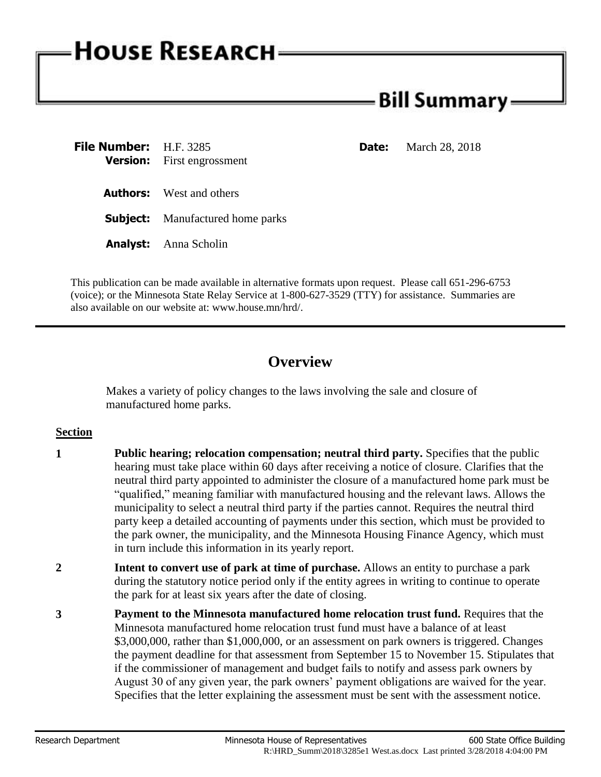# **HOUSE RESEARCH**

## Bill Summary: -

| <b>File Number:</b> H.F. 3285 | <b>Version:</b> First engrossment       | <b>Date:</b> | March 28, 2018 |
|-------------------------------|-----------------------------------------|--------------|----------------|
|                               | <b>Authors:</b> West and others         |              |                |
|                               | <b>Subject:</b> Manufactured home parks |              |                |
|                               | <b>Analyst:</b> Anna Scholin            |              |                |

This publication can be made available in alternative formats upon request. Please call 651-296-6753 (voice); or the Minnesota State Relay Service at 1-800-627-3529 (TTY) for assistance. Summaries are also available on our website at: www.house.mn/hrd/.

## **Overview**

Makes a variety of policy changes to the laws involving the sale and closure of manufactured home parks.

### **Section**

- **1 Public hearing; relocation compensation; neutral third party.** Specifies that the public hearing must take place within 60 days after receiving a notice of closure. Clarifies that the neutral third party appointed to administer the closure of a manufactured home park must be "qualified," meaning familiar with manufactured housing and the relevant laws. Allows the municipality to select a neutral third party if the parties cannot. Requires the neutral third party keep a detailed accounting of payments under this section, which must be provided to the park owner, the municipality, and the Minnesota Housing Finance Agency, which must in turn include this information in its yearly report.
- **2 Intent to convert use of park at time of purchase.** Allows an entity to purchase a park during the statutory notice period only if the entity agrees in writing to continue to operate the park for at least six years after the date of closing.
- **3 Payment to the Minnesota manufactured home relocation trust fund.** Requires that the Minnesota manufactured home relocation trust fund must have a balance of at least \$3,000,000, rather than \$1,000,000, or an assessment on park owners is triggered. Changes the payment deadline for that assessment from September 15 to November 15. Stipulates that if the commissioner of management and budget fails to notify and assess park owners by August 30 of any given year, the park owners' payment obligations are waived for the year. Specifies that the letter explaining the assessment must be sent with the assessment notice.